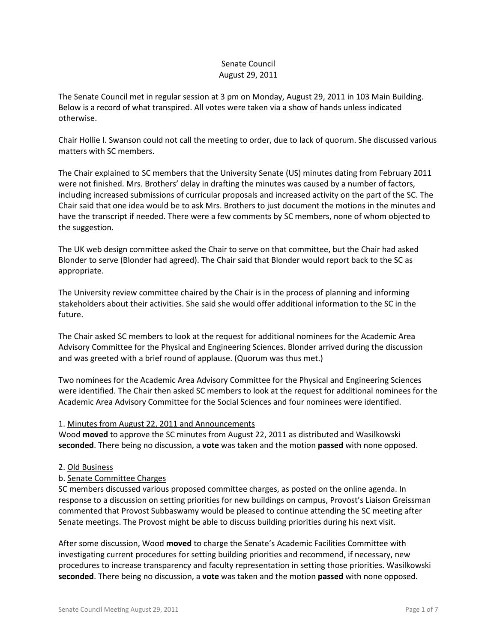# Senate Council August 29, 2011

The Senate Council met in regular session at 3 pm on Monday, August 29, 2011 in 103 Main Building. Below is a record of what transpired. All votes were taken via a show of hands unless indicated otherwise.

Chair Hollie I. Swanson could not call the meeting to order, due to lack of quorum. She discussed various matters with SC members.

The Chair explained to SC members that the University Senate (US) minutes dating from February 2011 were not finished. Mrs. Brothers' delay in drafting the minutes was caused by a number of factors, including increased submissions of curricular proposals and increased activity on the part of the SC. The Chair said that one idea would be to ask Mrs. Brothers to just document the motions in the minutes and have the transcript if needed. There were a few comments by SC members, none of whom objected to the suggestion.

The UK web design committee asked the Chair to serve on that committee, but the Chair had asked Blonder to serve (Blonder had agreed). The Chair said that Blonder would report back to the SC as appropriate.

The University review committee chaired by the Chair is in the process of planning and informing stakeholders about their activities. She said she would offer additional information to the SC in the future.

The Chair asked SC members to look at the request for additional nominees for the Academic Area Advisory Committee for the Physical and Engineering Sciences. Blonder arrived during the discussion and was greeted with a brief round of applause. (Quorum was thus met.)

Two nominees for the Academic Area Advisory Committee for the Physical and Engineering Sciences were identified. The Chair then asked SC members to look at the request for additional nominees for the Academic Area Advisory Committee for the Social Sciences and four nominees were identified.

# 1. Minutes from August 22, 2011 and Announcements

Wood **moved** to approve the SC minutes from August 22, 2011 as distributed and Wasilkowski **seconded**. There being no discussion, a **vote** was taken and the motion **passed** with none opposed.

### 2. Old Business

# b. Senate Committee Charges

SC members discussed various proposed committee charges, as posted on the online agenda. In response to a discussion on setting priorities for new buildings on campus, Provost's Liaison Greissman commented that Provost Subbaswamy would be pleased to continue attending the SC meeting after Senate meetings. The Provost might be able to discuss building priorities during his next visit.

After some discussion, Wood **moved** to charge the Senate's Academic Facilities Committee with investigating current procedures for setting building priorities and recommend, if necessary, new procedures to increase transparency and faculty representation in setting those priorities. Wasilkowski **seconded**. There being no discussion, a **vote** was taken and the motion **passed** with none opposed.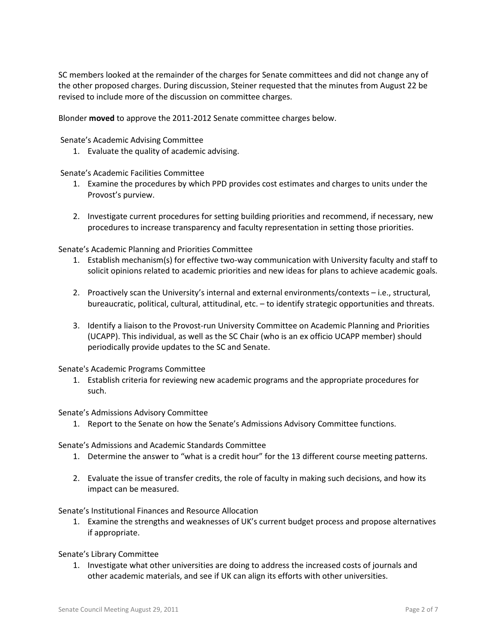SC members looked at the remainder of the charges for Senate committees and did not change any of the other proposed charges. During discussion, Steiner requested that the minutes from August 22 be revised to include more of the discussion on committee charges.

Blonder **moved** to approve the 2011-2012 Senate committee charges below.

Senate's Academic Advising Committee

1. Evaluate the quality of academic advising.

Senate's Academic Facilities Committee

- 1. Examine the procedures by which PPD provides cost estimates and charges to units under the Provost's purview.
- 2. Investigate current procedures for setting building priorities and recommend, if necessary, new procedures to increase transparency and faculty representation in setting those priorities.

Senate's Academic Planning and Priorities Committee

- 1. Establish mechanism(s) for effective two-way communication with University faculty and staff to solicit opinions related to academic priorities and new ideas for plans to achieve academic goals.
- 2. Proactively scan the University's internal and external environments/contexts i.e., structural, bureaucratic, political, cultural, attitudinal, etc. – to identify strategic opportunities and threats.
- 3. Identify a liaison to the Provost-run University Committee on Academic Planning and Priorities (UCAPP). This individual, as well as the SC Chair (who is an ex officio UCAPP member) should periodically provide updates to the SC and Senate.

Senate's Academic Programs Committee

1. Establish criteria for reviewing new academic programs and the appropriate procedures for such.

Senate's Admissions Advisory Committee

1. Report to the Senate on how the Senate's Admissions Advisory Committee functions.

Senate's Admissions and Academic Standards Committee

- 1. Determine the answer to "what is a credit hour" for the 13 different course meeting patterns.
- 2. Evaluate the issue of transfer credits, the role of faculty in making such decisions, and how its impact can be measured.

Senate's Institutional Finances and Resource Allocation

1. Examine the strengths and weaknesses of UK's current budget process and propose alternatives if appropriate.

Senate's Library Committee

1. Investigate what other universities are doing to address the increased costs of journals and other academic materials, and see if UK can align its efforts with other universities.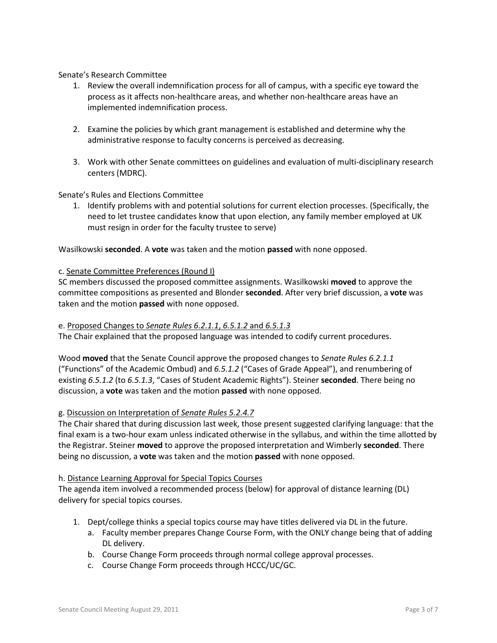Senate's Research Committee

- 1. Review the overall indemnification process for all of campus, with a specific eye toward the process as it affects non-healthcare areas, and whether non-healthcare areas have an implemented indemnification process.
- 2. Examine the policies by which grant management is established and determine why the administrative response to faculty concerns is perceived as decreasing.
- 3. Work with other Senate committees on guidelines and evaluation of multi-disciplinary research centers (MDRC).

### Senate's Rules and Elections Committee

1. Identify problems with and potential solutions for current election processes. (Specifically, the need to let trustee candidates know that upon election, any family member employed at UK must resign in order for the faculty trustee to serve)

Wasilkowski **seconded**. A **vote** was taken and the motion **passed** with none opposed.

### c. Senate Committee Preferences (Round I)

SC members discussed the proposed committee assignments. Wasilkowski **moved** to approve the committee compositions as presented and Blonder **seconded**. After very brief discussion, a **vote** was taken and the motion **passed** with none opposed.

### e. Proposed Changes to *Senate Rules 6.2.1.1*, *6.5.1.2* and *6.5.1.3*

The Chair explained that the proposed language was intended to codify current procedures.

Wood **moved** that the Senate Council approve the proposed changes to *Senate Rules 6.2.1.1* ("Functions" of the Academic Ombud) and *6.5.1.2* ("Cases of Grade Appeal"), and renumbering of existing *6.5.1.2* (to *6.5.1.3*, "Cases of Student Academic Rights"). Steiner **seconded**. There being no discussion, a **vote** was taken and the motion **passed** with none opposed.

### g. Discussion on Interpretation of *Senate Rules 5.2.4.7*

The Chair shared that during discussion last week, those present suggested clarifying language: that the final exam is a two-hour exam unless indicated otherwise in the syllabus, and within the time allotted by the Registrar. Steiner **moved** to approve the proposed interpretation and Wimberly **seconded**. There being no discussion, a **vote** was taken and the motion **passed** with none opposed.

### h. Distance Learning Approval for Special Topics Courses

The agenda item involved a recommended process (below) for approval of distance learning (DL) delivery for special topics courses.

- 1. Dept/college thinks a special topics course may have titles delivered via DL in the future.
	- a. Faculty member prepares Change Course Form, with the ONLY change being that of adding DL delivery.
	- b. Course Change Form proceeds through normal college approval processes.
	- c. Course Change Form proceeds through HCCC/UC/GC.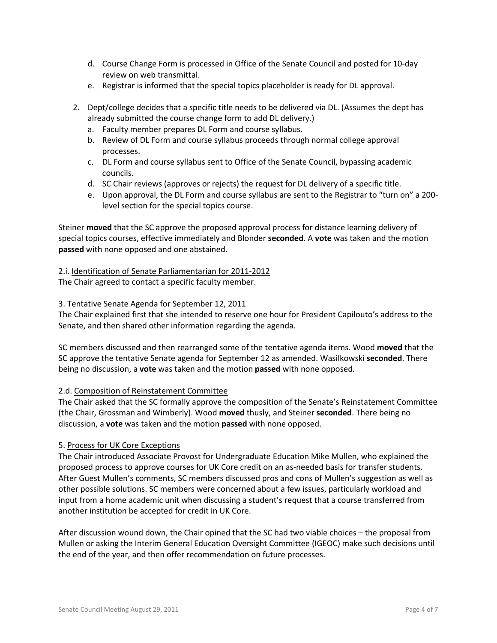- d. Course Change Form is processed in Office of the Senate Council and posted for 10-day review on web transmittal.
- e. Registrar is informed that the special topics placeholder is ready for DL approval.
- 2. Dept/college decides that a specific title needs to be delivered via DL. (Assumes the dept has already submitted the course change form to add DL delivery.)
	- a. Faculty member prepares DL Form and course syllabus.
	- b. Review of DL Form and course syllabus proceeds through normal college approval processes.
	- c. DL Form and course syllabus sent to Office of the Senate Council, bypassing academic councils.
	- d. SC Chair reviews (approves or rejects) the request for DL delivery of a specific title.
	- e. Upon approval, the DL Form and course syllabus are sent to the Registrar to "turn on" a 200 level section for the special topics course.

Steiner **moved** that the SC approve the proposed approval process for distance learning delivery of special topics courses, effective immediately and Blonder **seconded**. A **vote** was taken and the motion **passed** with none opposed and one abstained.

# 2.i. Identification of Senate Parliamentarian for 2011-2012

The Chair agreed to contact a specific faculty member.

# 3. Tentative Senate Agenda for September 12, 2011

The Chair explained first that she intended to reserve one hour for President Capilouto's address to the Senate, and then shared other information regarding the agenda.

SC members discussed and then rearranged some of the tentative agenda items. Wood **moved** that the SC approve the tentative Senate agenda for September 12 as amended. Wasilkowski **seconded**. There being no discussion, a **vote** was taken and the motion **passed** with none opposed.

# 2.d. Composition of Reinstatement Committee

The Chair asked that the SC formally approve the composition of the Senate's Reinstatement Committee (the Chair, Grossman and Wimberly). Wood **moved** thusly, and Steiner **seconded**. There being no discussion, a **vote** was taken and the motion **passed** with none opposed.

# 5. Process for UK Core Exceptions

The Chair introduced Associate Provost for Undergraduate Education Mike Mullen, who explained the proposed process to approve courses for UK Core credit on an as-needed basis for transfer students. After Guest Mullen's comments, SC members discussed pros and cons of Mullen's suggestion as well as other possible solutions. SC members were concerned about a few issues, particularly workload and input from a home academic unit when discussing a student's request that a course transferred from another institution be accepted for credit in UK Core.

After discussion wound down, the Chair opined that the SC had two viable choices – the proposal from Mullen or asking the Interim General Education Oversight Committee (IGEOC) make such decisions until the end of the year, and then offer recommendation on future processes.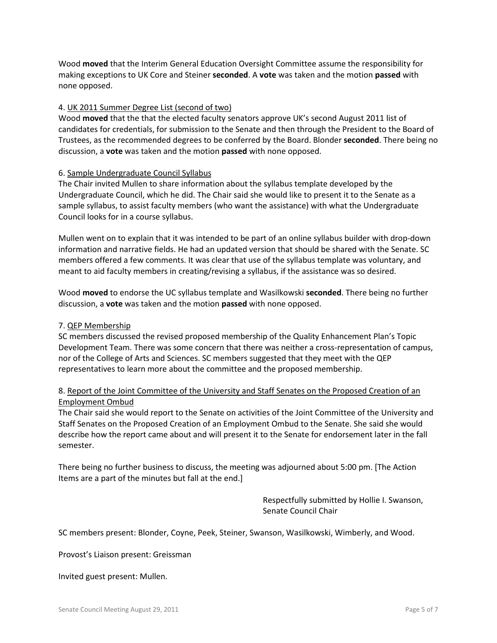Wood **moved** that the Interim General Education Oversight Committee assume the responsibility for making exceptions to UK Core and Steiner **seconded**. A **vote** was taken and the motion **passed** with none opposed.

### 4. UK 2011 Summer Degree List (second of two)

Wood **moved** that the that the elected faculty senators approve UK's second August 2011 list of candidates for credentials, for submission to the Senate and then through the President to the Board of Trustees, as the recommended degrees to be conferred by the Board. Blonder **seconded**. There being no discussion, a **vote** was taken and the motion **passed** with none opposed.

### 6. Sample Undergraduate Council Syllabus

The Chair invited Mullen to share information about the syllabus template developed by the Undergraduate Council, which he did. The Chair said she would like to present it to the Senate as a sample syllabus, to assist faculty members (who want the assistance) with what the Undergraduate Council looks for in a course syllabus.

Mullen went on to explain that it was intended to be part of an online syllabus builder with drop-down information and narrative fields. He had an updated version that should be shared with the Senate. SC members offered a few comments. It was clear that use of the syllabus template was voluntary, and meant to aid faculty members in creating/revising a syllabus, if the assistance was so desired.

Wood **moved** to endorse the UC syllabus template and Wasilkowski **seconded**. There being no further discussion, a **vote** was taken and the motion **passed** with none opposed.

### 7. QEP Membership

SC members discussed the revised proposed membership of the Quality Enhancement Plan's Topic Development Team. There was some concern that there was neither a cross-representation of campus, nor of the College of Arts and Sciences. SC members suggested that they meet with the QEP representatives to learn more about the committee and the proposed membership.

# 8. Report of the Joint Committee of the University and Staff Senates on the Proposed Creation of an Employment Ombud

The Chair said she would report to the Senate on activities of the Joint Committee of the University and Staff Senates on the Proposed Creation of an Employment Ombud to the Senate. She said she would describe how the report came about and will present it to the Senate for endorsement later in the fall semester.

There being no further business to discuss, the meeting was adjourned about 5:00 pm. [The Action Items are a part of the minutes but fall at the end.]

> Respectfully submitted by Hollie I. Swanson, Senate Council Chair

SC members present: Blonder, Coyne, Peek, Steiner, Swanson, Wasilkowski, Wimberly, and Wood.

Provost's Liaison present: Greissman

Invited guest present: Mullen.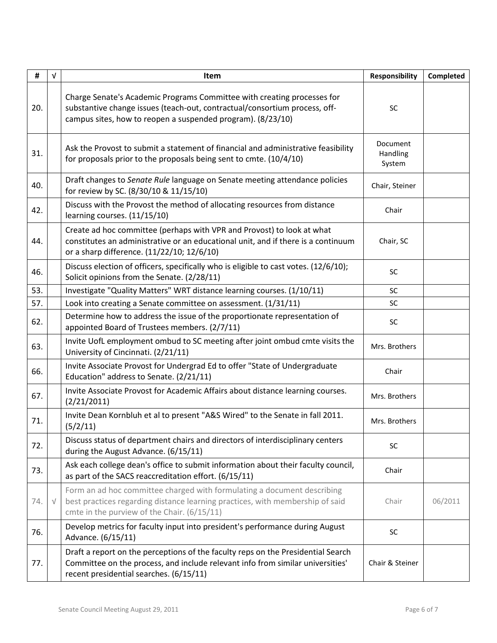| #   | $\sqrt{ }$ | Item                                                                                                                                                                                                                 | <b>Responsibility</b>          | Completed |
|-----|------------|----------------------------------------------------------------------------------------------------------------------------------------------------------------------------------------------------------------------|--------------------------------|-----------|
| 20. |            | Charge Senate's Academic Programs Committee with creating processes for<br>substantive change issues (teach-out, contractual/consortium process, off-<br>campus sites, how to reopen a suspended program). (8/23/10) | <b>SC</b>                      |           |
| 31. |            | Ask the Provost to submit a statement of financial and administrative feasibility<br>for proposals prior to the proposals being sent to cmte. (10/4/10)                                                              | Document<br>Handling<br>System |           |
| 40. |            | Draft changes to Senate Rule language on Senate meeting attendance policies<br>for review by SC. (8/30/10 & 11/15/10)                                                                                                | Chair, Steiner                 |           |
| 42. |            | Discuss with the Provost the method of allocating resources from distance<br>learning courses. (11/15/10)                                                                                                            | Chair                          |           |
| 44. |            | Create ad hoc committee (perhaps with VPR and Provost) to look at what<br>constitutes an administrative or an educational unit, and if there is a continuum<br>or a sharp difference. (11/22/10; 12/6/10)            | Chair, SC                      |           |
| 46. |            | Discuss election of officers, specifically who is eligible to cast votes. (12/6/10);<br>Solicit opinions from the Senate. (2/28/11)                                                                                  | SC                             |           |
| 53. |            | Investigate "Quality Matters" WRT distance learning courses. (1/10/11)                                                                                                                                               | SC                             |           |
| 57. |            | Look into creating a Senate committee on assessment. (1/31/11)                                                                                                                                                       | <b>SC</b>                      |           |
| 62. |            | Determine how to address the issue of the proportionate representation of<br>appointed Board of Trustees members. (2/7/11)                                                                                           | SC                             |           |
| 63. |            | Invite UofL employment ombud to SC meeting after joint ombud cmte visits the<br>University of Cincinnati. (2/21/11)                                                                                                  | Mrs. Brothers                  |           |
| 66. |            | Invite Associate Provost for Undergrad Ed to offer "State of Undergraduate<br>Education" address to Senate. (2/21/11)                                                                                                | Chair                          |           |
| 67. |            | Invite Associate Provost for Academic Affairs about distance learning courses.<br>(2/21/2011)                                                                                                                        | Mrs. Brothers                  |           |
| 71. |            | Invite Dean Kornbluh et al to present "A&S Wired" to the Senate in fall 2011.<br>(5/2/11)                                                                                                                            | Mrs. Brothers                  |           |
| 72. |            | Discuss status of department chairs and directors of interdisciplinary centers<br>during the August Advance. (6/15/11)                                                                                               | SC                             |           |
| 73. |            | Ask each college dean's office to submit information about their faculty council,<br>as part of the SACS reaccreditation effort. (6/15/11)                                                                           | Chair                          |           |
| 74. | V          | Form an ad hoc committee charged with formulating a document describing<br>best practices regarding distance learning practices, with membership of said<br>cmte in the purview of the Chair. (6/15/11)              | Chair                          | 06/2011   |
| 76. |            | Develop metrics for faculty input into president's performance during August<br>Advance. (6/15/11)                                                                                                                   | SC                             |           |
| 77. |            | Draft a report on the perceptions of the faculty reps on the Presidential Search<br>Committee on the process, and include relevant info from similar universities'<br>recent presidential searches. (6/15/11)        | Chair & Steiner                |           |